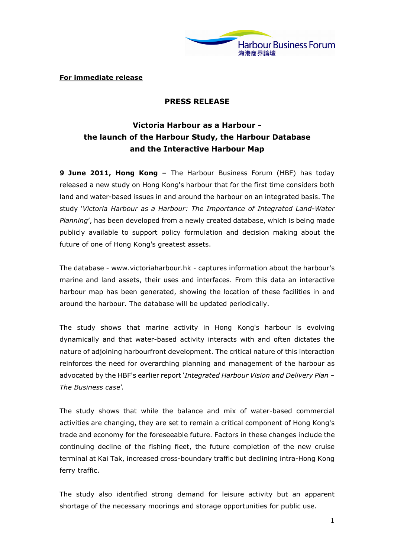

For immediate release

## PRESS RELEASE

# Victoria Harbour as a Harbour the launch of the Harbour Study, the Harbour Database and the Interactive Harbour Map

9 June 2011, Hong Kong - The Harbour Business Forum (HBF) has today released a new study on Hong Kong's harbour that for the first time considers both land and water-based issues in and around the harbour on an integrated basis. The study 'Victoria Harbour as a Harbour: The Importance of Integrated Land-Water Planning', has been developed from a newly created database, which is being made publicly available to support policy formulation and decision making about the future of one of Hong Kong's greatest assets.

The database - www.victoriaharbour.hk - captures information about the harbour's marine and land assets, their uses and interfaces. From this data an interactive harbour map has been generated, showing the location of these facilities in and around the harbour. The database will be updated periodically.

The study shows that marine activity in Hong Kong's harbour is evolving dynamically and that water-based activity interacts with and often dictates the nature of adjoining harbourfront development. The critical nature of this interaction reinforces the need for overarching planning and management of the harbour as advocated by the HBF's earlier report 'Integrated Harbour Vision and Delivery Plan -The Business case'.

The study shows that while the balance and mix of water-based commercial activities are changing, they are set to remain a critical component of Hong Kong's trade and economy for the foreseeable future. Factors in these changes include the continuing decline of the fishing fleet, the future completion of the new cruise terminal at Kai Tak, increased cross-boundary traffic but declining intra-Hong Kong ferry traffic.

The study also identified strong demand for leisure activity but an apparent shortage of the necessary moorings and storage opportunities for public use.